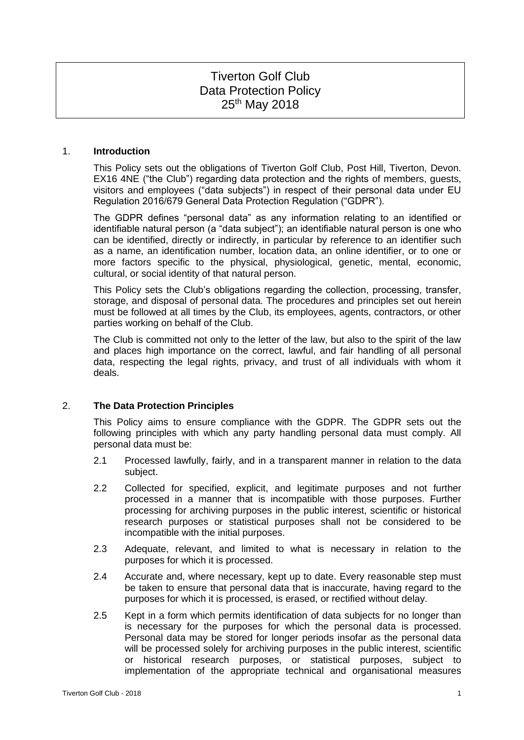# Tiverton Golf Club Data Protection Policy 25<sup>th</sup> May 2018

## 1. **Introduction**

This Policy sets out the obligations of Tiverton Golf Club, Post Hill, Tiverton, Devon. EX16 4NE ("the Club") regarding data protection and the rights of members, guests, visitors and employees ("data subjects") in respect of their personal data under EU Regulation 2016/679 General Data Protection Regulation ("GDPR").

The GDPR defines "personal data" as any information relating to an identified or identifiable natural person (a "data subject"); an identifiable natural person is one who can be identified, directly or indirectly, in particular by reference to an identifier such as a name, an identification number, location data, an online identifier, or to one or more factors specific to the physical, physiological, genetic, mental, economic, cultural, or social identity of that natural person.

This Policy sets the Club's obligations regarding the collection, processing, transfer, storage, and disposal of personal data. The procedures and principles set out herein must be followed at all times by the Club, its employees, agents, contractors, or other parties working on behalf of the Club.

The Club is committed not only to the letter of the law, but also to the spirit of the law and places high importance on the correct, lawful, and fair handling of all personal data, respecting the legal rights, privacy, and trust of all individuals with whom it deals.

# 2. **The Data Protection Principles**

This Policy aims to ensure compliance with the GDPR. The GDPR sets out the following principles with which any party handling personal data must comply. All personal data must be:

- 2.1 Processed lawfully, fairly, and in a transparent manner in relation to the data subject.
- 2.2 Collected for specified, explicit, and legitimate purposes and not further processed in a manner that is incompatible with those purposes. Further processing for archiving purposes in the public interest, scientific or historical research purposes or statistical purposes shall not be considered to be incompatible with the initial purposes.
- 2.3 Adequate, relevant, and limited to what is necessary in relation to the purposes for which it is processed.
- 2.4 Accurate and, where necessary, kept up to date. Every reasonable step must be taken to ensure that personal data that is inaccurate, having regard to the purposes for which it is processed, is erased, or rectified without delay.
- 2.5 Kept in a form which permits identification of data subjects for no longer than is necessary for the purposes for which the personal data is processed. Personal data may be stored for longer periods insofar as the personal data will be processed solely for archiving purposes in the public interest, scientific or historical research purposes, or statistical purposes, subject to implementation of the appropriate technical and organisational measures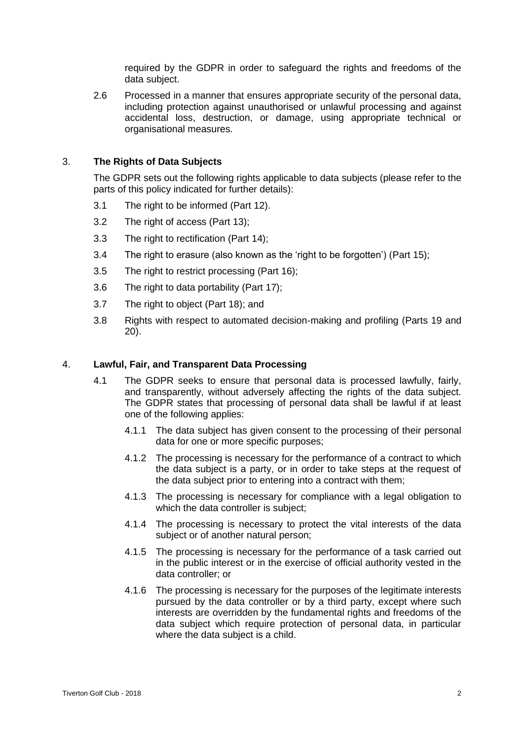required by the GDPR in order to safeguard the rights and freedoms of the data subject.

2.6 Processed in a manner that ensures appropriate security of the personal data, including protection against unauthorised or unlawful processing and against accidental loss, destruction, or damage, using appropriate technical or organisational measures.

# 3. **The Rights of Data Subjects**

The GDPR sets out the following rights applicable to data subjects (please refer to the parts of this policy indicated for further details):

- 3.1 The right to be informed (Part 12).
- 3.2 The right of access (Part 13);
- 3.3 The right to rectification (Part 14);
- 3.4 The right to erasure (also known as the 'right to be forgotten') (Part 15);
- 3.5 The right to restrict processing (Part 16);
- 3.6 The right to data portability (Part 17);
- 3.7 The right to object (Part 18); and
- 3.8 Rights with respect to automated decision-making and profiling (Parts 19 and 20).

## 4. **Lawful, Fair, and Transparent Data Processing**

- 4.1 The GDPR seeks to ensure that personal data is processed lawfully, fairly, and transparently, without adversely affecting the rights of the data subject. The GDPR states that processing of personal data shall be lawful if at least one of the following applies:
	- 4.1.1 The data subject has given consent to the processing of their personal data for one or more specific purposes;
	- 4.1.2 The processing is necessary for the performance of a contract to which the data subject is a party, or in order to take steps at the request of the data subject prior to entering into a contract with them;
	- 4.1.3 The processing is necessary for compliance with a legal obligation to which the data controller is subject:
	- 4.1.4 The processing is necessary to protect the vital interests of the data subject or of another natural person;
	- 4.1.5 The processing is necessary for the performance of a task carried out in the public interest or in the exercise of official authority vested in the data controller; or
	- 4.1.6 The processing is necessary for the purposes of the legitimate interests pursued by the data controller or by a third party, except where such interests are overridden by the fundamental rights and freedoms of the data subject which require protection of personal data, in particular where the data subject is a child.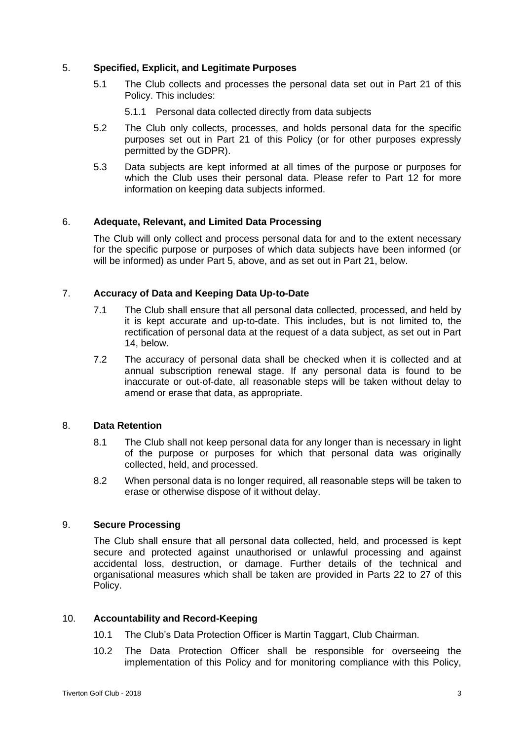# 5. **Specified, Explicit, and Legitimate Purposes**

- 5.1 The Club collects and processes the personal data set out in Part 21 of this Policy. This includes:
	- 5.1.1 Personal data collected directly from data subjects
- 5.2 The Club only collects, processes, and holds personal data for the specific purposes set out in Part 21 of this Policy (or for other purposes expressly permitted by the GDPR).
- 5.3 Data subjects are kept informed at all times of the purpose or purposes for which the Club uses their personal data. Please refer to Part 12 for more information on keeping data subjects informed.

# 6. **Adequate, Relevant, and Limited Data Processing**

The Club will only collect and process personal data for and to the extent necessary for the specific purpose or purposes of which data subjects have been informed (or will be informed) as under Part 5, above, and as set out in Part 21, below.

# 7. **Accuracy of Data and Keeping Data Up-to-Date**

- 7.1 The Club shall ensure that all personal data collected, processed, and held by it is kept accurate and up-to-date. This includes, but is not limited to, the rectification of personal data at the request of a data subject, as set out in Part 14, below.
- 7.2 The accuracy of personal data shall be checked when it is collected and at annual subscription renewal stage. If any personal data is found to be inaccurate or out-of-date, all reasonable steps will be taken without delay to amend or erase that data, as appropriate.

## 8. **Data Retention**

- 8.1 The Club shall not keep personal data for any longer than is necessary in light of the purpose or purposes for which that personal data was originally collected, held, and processed.
- 8.2 When personal data is no longer required, all reasonable steps will be taken to erase or otherwise dispose of it without delay.

## 9. **Secure Processing**

The Club shall ensure that all personal data collected, held, and processed is kept secure and protected against unauthorised or unlawful processing and against accidental loss, destruction, or damage. Further details of the technical and organisational measures which shall be taken are provided in Parts 22 to 27 of this Policy.

## 10. **Accountability and Record-Keeping**

- 10.1 The Club's Data Protection Officer is Martin Taggart, Club Chairman.
- 10.2 The Data Protection Officer shall be responsible for overseeing the implementation of this Policy and for monitoring compliance with this Policy,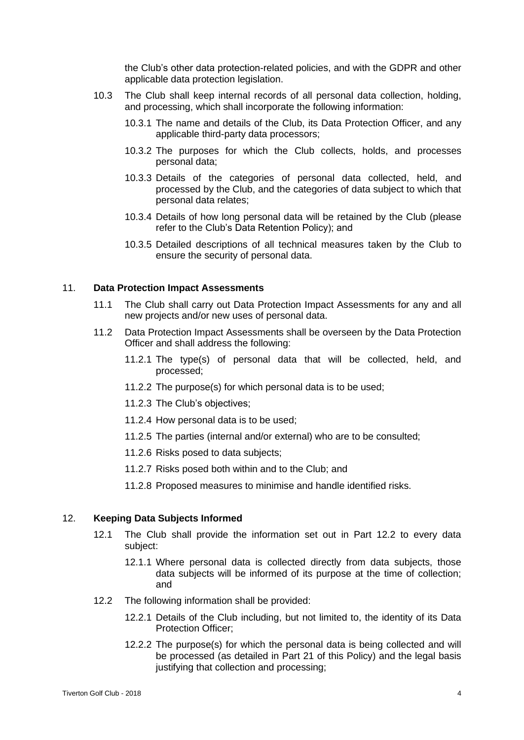the Club's other data protection-related policies, and with the GDPR and other applicable data protection legislation.

- 10.3 The Club shall keep internal records of all personal data collection, holding, and processing, which shall incorporate the following information:
	- 10.3.1 The name and details of the Club, its Data Protection Officer, and any applicable third-party data processors;
	- 10.3.2 The purposes for which the Club collects, holds, and processes personal data;
	- 10.3.3 Details of the categories of personal data collected, held, and processed by the Club, and the categories of data subject to which that personal data relates;
	- 10.3.4 Details of how long personal data will be retained by the Club (please refer to the Club's Data Retention Policy); and
	- 10.3.5 Detailed descriptions of all technical measures taken by the Club to ensure the security of personal data.

## 11. **Data Protection Impact Assessments**

- 11.1 The Club shall carry out Data Protection Impact Assessments for any and all new projects and/or new uses of personal data.
- 11.2 Data Protection Impact Assessments shall be overseen by the Data Protection Officer and shall address the following:
	- 11.2.1 The type(s) of personal data that will be collected, held, and processed;
	- 11.2.2 The purpose(s) for which personal data is to be used;
	- 11.2.3 The Club's objectives;
	- 11.2.4 How personal data is to be used;
	- 11.2.5 The parties (internal and/or external) who are to be consulted;
	- 11.2.6 Risks posed to data subjects;
	- 11.2.7 Risks posed both within and to the Club; and
	- 11.2.8 Proposed measures to minimise and handle identified risks.

## 12. **Keeping Data Subjects Informed**

- 12.1 The Club shall provide the information set out in Part 12.2 to every data subject:
	- 12.1.1 Where personal data is collected directly from data subjects, those data subjects will be informed of its purpose at the time of collection; and
- 12.2 The following information shall be provided:
	- 12.2.1 Details of the Club including, but not limited to, the identity of its Data Protection Officer;
	- 12.2.2 The purpose(s) for which the personal data is being collected and will be processed (as detailed in Part 21 of this Policy) and the legal basis justifying that collection and processing;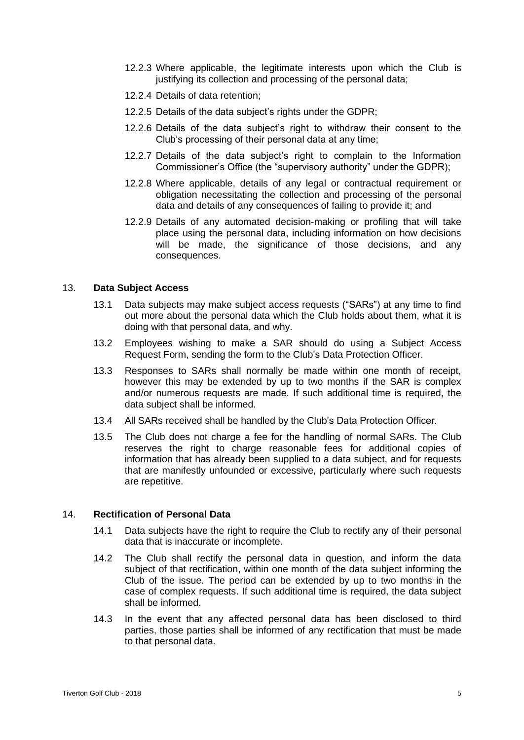- 12.2.3 Where applicable, the legitimate interests upon which the Club is justifying its collection and processing of the personal data;
- 12.2.4 Details of data retention;
- 12.2.5 Details of the data subject's rights under the GDPR;
- 12.2.6 Details of the data subject's right to withdraw their consent to the Club's processing of their personal data at any time;
- 12.2.7 Details of the data subject's right to complain to the Information Commissioner's Office (the "supervisory authority" under the GDPR);
- 12.2.8 Where applicable, details of any legal or contractual requirement or obligation necessitating the collection and processing of the personal data and details of any consequences of failing to provide it; and
- 12.2.9 Details of any automated decision-making or profiling that will take place using the personal data, including information on how decisions will be made, the significance of those decisions, and any consequences.

## 13. **Data Subject Access**

- 13.1 Data subjects may make subject access requests ("SARs") at any time to find out more about the personal data which the Club holds about them, what it is doing with that personal data, and why.
- 13.2 Employees wishing to make a SAR should do using a Subject Access Request Form, sending the form to the Club's Data Protection Officer.
- 13.3 Responses to SARs shall normally be made within one month of receipt, however this may be extended by up to two months if the SAR is complex and/or numerous requests are made. If such additional time is required, the data subject shall be informed.
- 13.4 All SARs received shall be handled by the Club's Data Protection Officer.
- 13.5 The Club does not charge a fee for the handling of normal SARs. The Club reserves the right to charge reasonable fees for additional copies of information that has already been supplied to a data subject, and for requests that are manifestly unfounded or excessive, particularly where such requests are repetitive.

## 14. **Rectification of Personal Data**

- 14.1 Data subjects have the right to require the Club to rectify any of their personal data that is inaccurate or incomplete.
- 14.2 The Club shall rectify the personal data in question, and inform the data subject of that rectification, within one month of the data subject informing the Club of the issue. The period can be extended by up to two months in the case of complex requests. If such additional time is required, the data subject shall be informed.
- 14.3 In the event that any affected personal data has been disclosed to third parties, those parties shall be informed of any rectification that must be made to that personal data.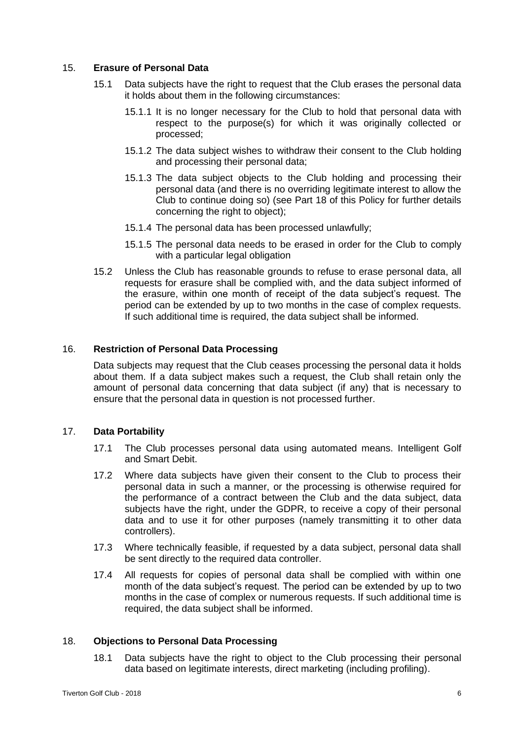## 15. **Erasure of Personal Data**

- 15.1 Data subjects have the right to request that the Club erases the personal data it holds about them in the following circumstances:
	- 15.1.1 It is no longer necessary for the Club to hold that personal data with respect to the purpose(s) for which it was originally collected or processed;
	- 15.1.2 The data subject wishes to withdraw their consent to the Club holding and processing their personal data;
	- 15.1.3 The data subject objects to the Club holding and processing their personal data (and there is no overriding legitimate interest to allow the Club to continue doing so) (see Part 18 of this Policy for further details concerning the right to object);
	- 15.1.4 The personal data has been processed unlawfully;
	- 15.1.5 The personal data needs to be erased in order for the Club to comply with a particular legal obligation
- 15.2 Unless the Club has reasonable grounds to refuse to erase personal data, all requests for erasure shall be complied with, and the data subject informed of the erasure, within one month of receipt of the data subject's request. The period can be extended by up to two months in the case of complex requests. If such additional time is required, the data subject shall be informed.

## 16. **Restriction of Personal Data Processing**

Data subjects may request that the Club ceases processing the personal data it holds about them. If a data subject makes such a request, the Club shall retain only the amount of personal data concerning that data subject (if any) that is necessary to ensure that the personal data in question is not processed further.

## 17. **Data Portability**

- 17.1 The Club processes personal data using automated means. Intelligent Golf and Smart Debit.
- 17.2 Where data subjects have given their consent to the Club to process their personal data in such a manner, or the processing is otherwise required for the performance of a contract between the Club and the data subject, data subjects have the right, under the GDPR, to receive a copy of their personal data and to use it for other purposes (namely transmitting it to other data controllers).
- 17.3 Where technically feasible, if requested by a data subject, personal data shall be sent directly to the required data controller.
- 17.4 All requests for copies of personal data shall be complied with within one month of the data subject's request. The period can be extended by up to two months in the case of complex or numerous requests. If such additional time is required, the data subject shall be informed.

## 18. **Objections to Personal Data Processing**

18.1 Data subjects have the right to object to the Club processing their personal data based on legitimate interests, direct marketing (including profiling).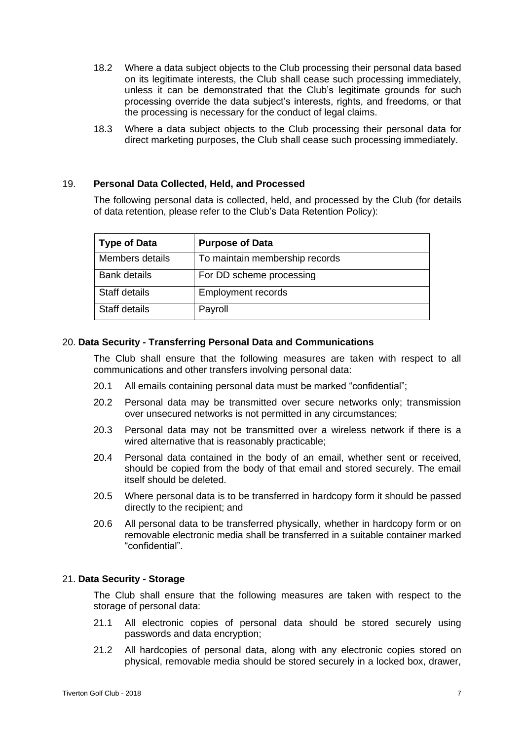- 18.2 Where a data subject objects to the Club processing their personal data based on its legitimate interests, the Club shall cease such processing immediately, unless it can be demonstrated that the Club's legitimate grounds for such processing override the data subject's interests, rights, and freedoms, or that the processing is necessary for the conduct of legal claims.
- 18.3 Where a data subject objects to the Club processing their personal data for direct marketing purposes, the Club shall cease such processing immediately.

## 19. **Personal Data Collected, Held, and Processed**

The following personal data is collected, held, and processed by the Club (for details of data retention, please refer to the Club's Data Retention Policy):

| <b>Type of Data</b> | <b>Purpose of Data</b>         |
|---------------------|--------------------------------|
| Members details     | To maintain membership records |
| <b>Bank details</b> | For DD scheme processing       |
| Staff details       | <b>Employment records</b>      |
| Staff details       | Payroll                        |

# 20. **Data Security - Transferring Personal Data and Communications**

The Club shall ensure that the following measures are taken with respect to all communications and other transfers involving personal data:

- 20.1 All emails containing personal data must be marked "confidential";
- 20.2 Personal data may be transmitted over secure networks only; transmission over unsecured networks is not permitted in any circumstances;
- 20.3 Personal data may not be transmitted over a wireless network if there is a wired alternative that is reasonably practicable;
- 20.4 Personal data contained in the body of an email, whether sent or received, should be copied from the body of that email and stored securely. The email itself should be deleted.
- 20.5 Where personal data is to be transferred in hardcopy form it should be passed directly to the recipient; and
- 20.6 All personal data to be transferred physically, whether in hardcopy form or on removable electronic media shall be transferred in a suitable container marked "confidential".

## 21. **Data Security - Storage**

The Club shall ensure that the following measures are taken with respect to the storage of personal data:

- 21.1 All electronic copies of personal data should be stored securely using passwords and data encryption;
- 21.2 All hardcopies of personal data, along with any electronic copies stored on physical, removable media should be stored securely in a locked box, drawer,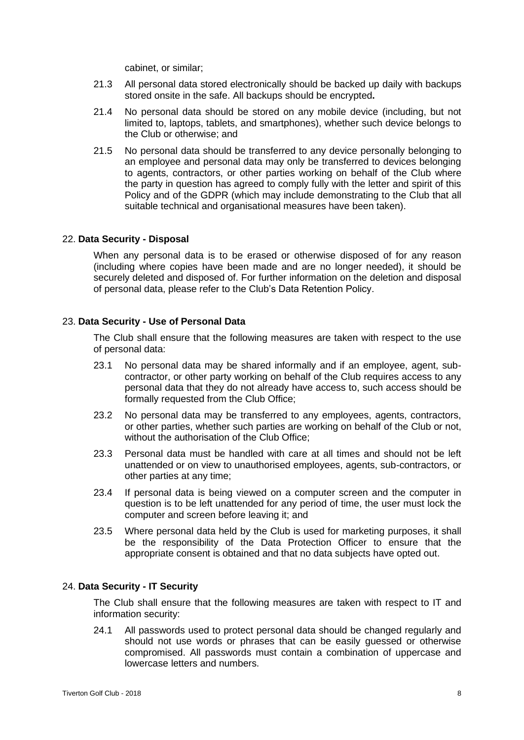cabinet, or similar;

- 21.3 All personal data stored electronically should be backed up daily with backups stored onsite in the safe. All backups should be encrypted**.**
- 21.4 No personal data should be stored on any mobile device (including, but not limited to, laptops, tablets, and smartphones), whether such device belongs to the Club or otherwise; and
- 21.5 No personal data should be transferred to any device personally belonging to an employee and personal data may only be transferred to devices belonging to agents, contractors, or other parties working on behalf of the Club where the party in question has agreed to comply fully with the letter and spirit of this Policy and of the GDPR (which may include demonstrating to the Club that all suitable technical and organisational measures have been taken).

## 22. **Data Security - Disposal**

When any personal data is to be erased or otherwise disposed of for any reason (including where copies have been made and are no longer needed), it should be securely deleted and disposed of. For further information on the deletion and disposal of personal data, please refer to the Club's Data Retention Policy.

## 23. **Data Security - Use of Personal Data**

The Club shall ensure that the following measures are taken with respect to the use of personal data:

- 23.1 No personal data may be shared informally and if an employee, agent, subcontractor, or other party working on behalf of the Club requires access to any personal data that they do not already have access to, such access should be formally requested from the Club Office;
- 23.2 No personal data may be transferred to any employees, agents, contractors, or other parties, whether such parties are working on behalf of the Club or not, without the authorisation of the Club Office;
- 23.3 Personal data must be handled with care at all times and should not be left unattended or on view to unauthorised employees, agents, sub-contractors, or other parties at any time;
- 23.4 If personal data is being viewed on a computer screen and the computer in question is to be left unattended for any period of time, the user must lock the computer and screen before leaving it; and
- 23.5 Where personal data held by the Club is used for marketing purposes, it shall be the responsibility of the Data Protection Officer to ensure that the appropriate consent is obtained and that no data subjects have opted out.

## 24. **Data Security - IT Security**

The Club shall ensure that the following measures are taken with respect to IT and information security:

24.1 All passwords used to protect personal data should be changed regularly and should not use words or phrases that can be easily guessed or otherwise compromised. All passwords must contain a combination of uppercase and lowercase letters and numbers.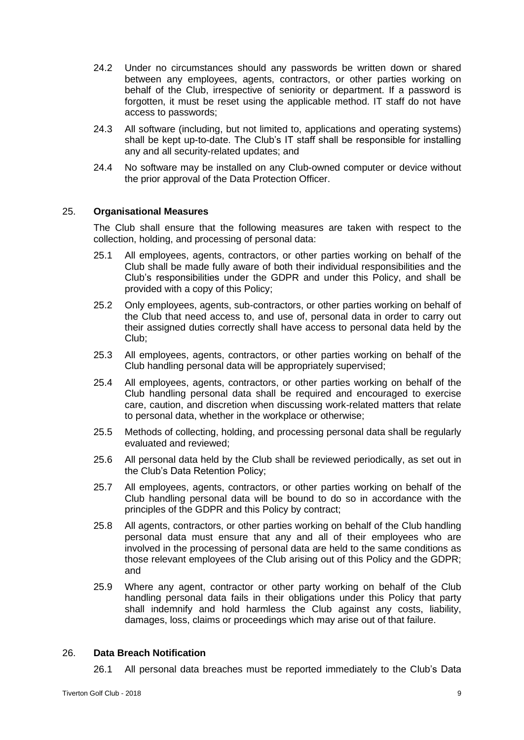- 24.2 Under no circumstances should any passwords be written down or shared between any employees, agents, contractors, or other parties working on behalf of the Club, irrespective of seniority or department. If a password is forgotten, it must be reset using the applicable method. IT staff do not have access to passwords;
- 24.3 All software (including, but not limited to, applications and operating systems) shall be kept up-to-date. The Club's IT staff shall be responsible for installing any and all security-related updates; and
- 24.4 No software may be installed on any Club-owned computer or device without the prior approval of the Data Protection Officer.

## 25. **Organisational Measures**

The Club shall ensure that the following measures are taken with respect to the collection, holding, and processing of personal data:

- 25.1 All employees, agents, contractors, or other parties working on behalf of the Club shall be made fully aware of both their individual responsibilities and the Club's responsibilities under the GDPR and under this Policy, and shall be provided with a copy of this Policy;
- 25.2 Only employees, agents, sub-contractors, or other parties working on behalf of the Club that need access to, and use of, personal data in order to carry out their assigned duties correctly shall have access to personal data held by the Club;
- 25.3 All employees, agents, contractors, or other parties working on behalf of the Club handling personal data will be appropriately supervised;
- 25.4 All employees, agents, contractors, or other parties working on behalf of the Club handling personal data shall be required and encouraged to exercise care, caution, and discretion when discussing work-related matters that relate to personal data, whether in the workplace or otherwise;
- 25.5 Methods of collecting, holding, and processing personal data shall be regularly evaluated and reviewed;
- 25.6 All personal data held by the Club shall be reviewed periodically, as set out in the Club's Data Retention Policy;
- 25.7 All employees, agents, contractors, or other parties working on behalf of the Club handling personal data will be bound to do so in accordance with the principles of the GDPR and this Policy by contract;
- 25.8 All agents, contractors, or other parties working on behalf of the Club handling personal data must ensure that any and all of their employees who are involved in the processing of personal data are held to the same conditions as those relevant employees of the Club arising out of this Policy and the GDPR; and
- 25.9 Where any agent, contractor or other party working on behalf of the Club handling personal data fails in their obligations under this Policy that party shall indemnify and hold harmless the Club against any costs, liability, damages, loss, claims or proceedings which may arise out of that failure.

## 26. **Data Breach Notification**

26.1 All personal data breaches must be reported immediately to the Club's Data